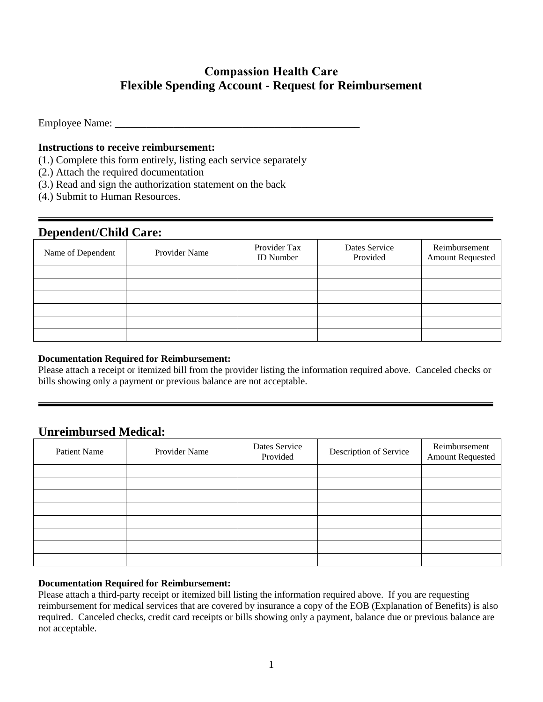# **Compassion Health Care Flexible Spending Account - Request for Reimbursement**

Employee Name:

### **Instructions to receive reimbursement:**

- (1.) Complete this form entirely, listing each service separately
- (2.) Attach the required documentation
- (3.) Read and sign the authorization statement on the back
- (4.) Submit to Human Resources.

### **Dependent/Child Care:**

| Name of Dependent | Provider Name | Provider Tax<br><b>ID</b> Number | Dates Service<br>Provided | Reimbursement<br><b>Amount Requested</b> |
|-------------------|---------------|----------------------------------|---------------------------|------------------------------------------|
|                   |               |                                  |                           |                                          |
|                   |               |                                  |                           |                                          |
|                   |               |                                  |                           |                                          |
|                   |               |                                  |                           |                                          |
|                   |               |                                  |                           |                                          |
|                   |               |                                  |                           |                                          |

#### **Documentation Required for Reimbursement:**

Please attach a receipt or itemized bill from the provider listing the information required above. Canceled checks or bills showing only a payment or previous balance are not acceptable.

## **Unreimbursed Medical:**

| Patient Name | Provider Name | Dates Service<br>Provided | Description of Service | Reimbursement<br><b>Amount Requested</b> |
|--------------|---------------|---------------------------|------------------------|------------------------------------------|
|              |               |                           |                        |                                          |
|              |               |                           |                        |                                          |
|              |               |                           |                        |                                          |
|              |               |                           |                        |                                          |
|              |               |                           |                        |                                          |
|              |               |                           |                        |                                          |
|              |               |                           |                        |                                          |
|              |               |                           |                        |                                          |

#### **Documentation Required for Reimbursement:**

Please attach a third-party receipt or itemized bill listing the information required above. If you are requesting reimbursement for medical services that are covered by insurance a copy of the EOB (Explanation of Benefits) is also required. Canceled checks, credit card receipts or bills showing only a payment, balance due or previous balance are not acceptable.